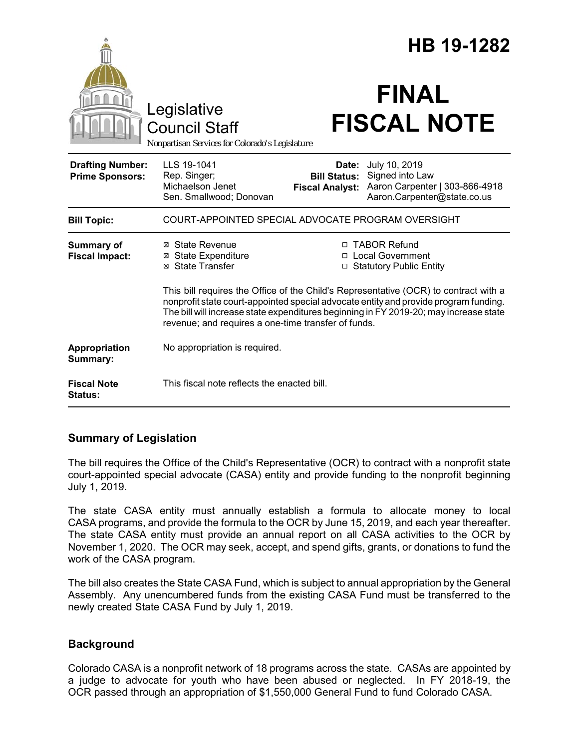|                                                   |                                                                                                                                                                                                                                                                                                                              | HB 19-1282                                                        |                                                                                                   |
|---------------------------------------------------|------------------------------------------------------------------------------------------------------------------------------------------------------------------------------------------------------------------------------------------------------------------------------------------------------------------------------|-------------------------------------------------------------------|---------------------------------------------------------------------------------------------------|
|                                                   | Legislative<br><b>Council Staff</b><br>Nonpartisan Services for Colorado's Legislature                                                                                                                                                                                                                                       |                                                                   | <b>FINAL</b><br><b>FISCAL NOTE</b>                                                                |
| <b>Drafting Number:</b><br><b>Prime Sponsors:</b> | LLS 19-1041<br>Rep. Singer;<br>Michaelson Jenet<br>Sen. Smallwood; Donovan                                                                                                                                                                                                                                                   | Date:<br><b>Bill Status:</b><br><b>Fiscal Analyst:</b>            | July 10, 2019<br>Signed into Law<br>Aaron Carpenter   303-866-4918<br>Aaron.Carpenter@state.co.us |
| <b>Bill Topic:</b>                                | COURT-APPOINTED SPECIAL ADVOCATE PROGRAM OVERSIGHT                                                                                                                                                                                                                                                                           |                                                                   |                                                                                                   |
| Summary of<br><b>Fiscal Impact:</b>               | ⊠ State Revenue<br><b>⊠</b> State Expenditure<br>⊠ State Transfer                                                                                                                                                                                                                                                            | □ TABOR Refund<br>□ Local Government<br>□ Statutory Public Entity |                                                                                                   |
|                                                   | This bill requires the Office of the Child's Representative (OCR) to contract with a<br>nonprofit state court-appointed special advocate entity and provide program funding.<br>The bill will increase state expenditures beginning in FY 2019-20; may increase state<br>revenue; and requires a one-time transfer of funds. |                                                                   |                                                                                                   |
| Appropriation<br>Summary:                         | No appropriation is required.                                                                                                                                                                                                                                                                                                |                                                                   |                                                                                                   |
| <b>Fiscal Note</b><br>Status:                     | This fiscal note reflects the enacted bill.                                                                                                                                                                                                                                                                                  |                                                                   |                                                                                                   |

### **Summary of Legislation**

The bill requires the Office of the Child's Representative (OCR) to contract with a nonprofit state court-appointed special advocate (CASA) entity and provide funding to the nonprofit beginning July 1, 2019.

The state CASA entity must annually establish a formula to allocate money to local CASA programs, and provide the formula to the OCR by June 15, 2019, and each year thereafter. The state CASA entity must provide an annual report on all CASA activities to the OCR by November 1, 2020. The OCR may seek, accept, and spend gifts, grants, or donations to fund the work of the CASA program.

The bill also creates the State CASA Fund, which is subject to annual appropriation by the General Assembly. Any unencumbered funds from the existing CASA Fund must be transferred to the newly created State CASA Fund by July 1, 2019.

### **Background**

Colorado CASA is a nonprofit network of 18 programs across the state. CASAs are appointed by a judge to advocate for youth who have been abused or neglected. In FY 2018-19, the OCR passed through an appropriation of \$1,550,000 General Fund to fund Colorado CASA.